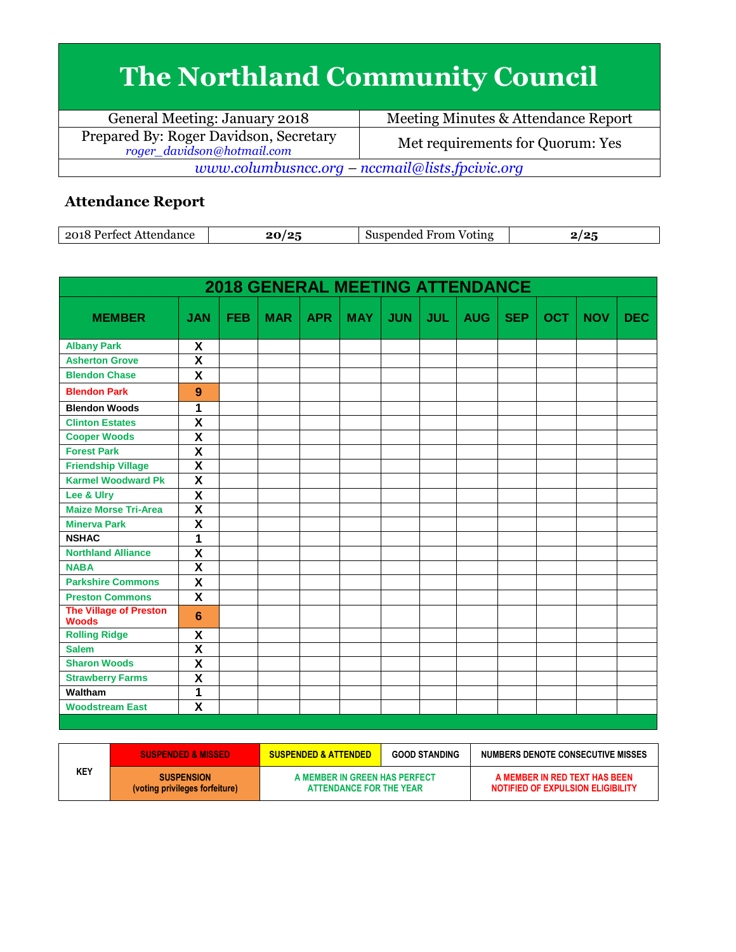## **The Northland Community Council**

| General Meeting: January 2018                                        | Meeting Minutes & Attendance Report |  |
|----------------------------------------------------------------------|-------------------------------------|--|
| Prepared By: Roger Davidson, Secretary<br>roger_davidson@hotmail.com | Met requirements for Quorum: Yes    |  |
| www.columbusncc.org – nccmail@lists.fpcivic.org                      |                                     |  |

## **Attendance Report**

| ാവ×<br>.<br>∩∩+<br>ATTP <sup>-</sup><br>пиапсе | $\sqrt{2}$<br>. . | From<br>nendec<br>Voting<br>וור |  |
|------------------------------------------------|-------------------|---------------------------------|--|

| <b>OCT</b><br><b>NOV</b><br><b>MEMBER</b><br>FEB<br><b>MAR</b><br><b>APR</b><br><b>MAY</b><br><b>JUN</b><br><b>JUL</b><br><b>AUG</b><br><b>SEP</b><br><b>JAN</b><br>X<br><b>Albany Park</b><br>$\overline{\mathbf{x}}$<br><b>Asherton Grove</b><br>$\overline{\mathbf{x}}$<br><b>Blendon Chase</b><br><b>Blendon Park</b><br>9<br>1<br><b>Blendon Woods</b><br>$\overline{\textsf{x}}$<br><b>Clinton Estates</b><br>$\overline{\mathbf{x}}$<br><b>Cooper Woods</b><br>X<br><b>Forest Park</b><br>$\overline{\mathbf{x}}$<br><b>Friendship Village</b><br>$\overline{\mathbf{x}}$<br><b>Karmel Woodward Pk</b><br>$\overline{\mathsf{x}}$<br>Lee & Ulry |            |
|--------------------------------------------------------------------------------------------------------------------------------------------------------------------------------------------------------------------------------------------------------------------------------------------------------------------------------------------------------------------------------------------------------------------------------------------------------------------------------------------------------------------------------------------------------------------------------------------------------------------------------------------------------|------------|
|                                                                                                                                                                                                                                                                                                                                                                                                                                                                                                                                                                                                                                                        | <b>DEC</b> |
|                                                                                                                                                                                                                                                                                                                                                                                                                                                                                                                                                                                                                                                        |            |
|                                                                                                                                                                                                                                                                                                                                                                                                                                                                                                                                                                                                                                                        |            |
|                                                                                                                                                                                                                                                                                                                                                                                                                                                                                                                                                                                                                                                        |            |
|                                                                                                                                                                                                                                                                                                                                                                                                                                                                                                                                                                                                                                                        |            |
|                                                                                                                                                                                                                                                                                                                                                                                                                                                                                                                                                                                                                                                        |            |
|                                                                                                                                                                                                                                                                                                                                                                                                                                                                                                                                                                                                                                                        |            |
|                                                                                                                                                                                                                                                                                                                                                                                                                                                                                                                                                                                                                                                        |            |
|                                                                                                                                                                                                                                                                                                                                                                                                                                                                                                                                                                                                                                                        |            |
|                                                                                                                                                                                                                                                                                                                                                                                                                                                                                                                                                                                                                                                        |            |
|                                                                                                                                                                                                                                                                                                                                                                                                                                                                                                                                                                                                                                                        |            |
|                                                                                                                                                                                                                                                                                                                                                                                                                                                                                                                                                                                                                                                        |            |
| $\overline{\mathsf{x}}$<br><b>Maize Morse Tri-Area</b>                                                                                                                                                                                                                                                                                                                                                                                                                                                                                                                                                                                                 |            |
| $\overline{\mathbf{x}}$<br><b>Minerva Park</b>                                                                                                                                                                                                                                                                                                                                                                                                                                                                                                                                                                                                         |            |
| $\overline{1}$<br><b>NSHAC</b>                                                                                                                                                                                                                                                                                                                                                                                                                                                                                                                                                                                                                         |            |
| $\overline{\mathbf{x}}$<br><b>Northland Alliance</b>                                                                                                                                                                                                                                                                                                                                                                                                                                                                                                                                                                                                   |            |
| $\overline{\mathsf{x}}$<br><b>NABA</b>                                                                                                                                                                                                                                                                                                                                                                                                                                                                                                                                                                                                                 |            |
| X<br><b>Parkshire Commons</b>                                                                                                                                                                                                                                                                                                                                                                                                                                                                                                                                                                                                                          |            |
| X<br><b>Preston Commons</b>                                                                                                                                                                                                                                                                                                                                                                                                                                                                                                                                                                                                                            |            |
| The Village of Preston<br>6<br><b>Woods</b>                                                                                                                                                                                                                                                                                                                                                                                                                                                                                                                                                                                                            |            |
| <b>Rolling Ridge</b><br>X                                                                                                                                                                                                                                                                                                                                                                                                                                                                                                                                                                                                                              |            |
| $\overline{\mathbf{x}}$<br><b>Salem</b>                                                                                                                                                                                                                                                                                                                                                                                                                                                                                                                                                                                                                |            |
| $\overline{\textsf{x}}$<br><b>Sharon Woods</b>                                                                                                                                                                                                                                                                                                                                                                                                                                                                                                                                                                                                         |            |
| $\overline{\mathbf{x}}$<br><b>Strawberry Farms</b>                                                                                                                                                                                                                                                                                                                                                                                                                                                                                                                                                                                                     |            |
| 1<br><b>Waltham</b>                                                                                                                                                                                                                                                                                                                                                                                                                                                                                                                                                                                                                                    |            |
| X<br><b>Woodstream East</b>                                                                                                                                                                                                                                                                                                                                                                                                                                                                                                                                                                                                                            |            |

|     | <b>SUSPENDED &amp; MISSED</b>                       | <b>SUSPENDED &amp; ATTENDED</b>                          | <b>GOOD STANDING</b> | NUMBERS DENOTE CONSECUTIVE MISSES                                  |
|-----|-----------------------------------------------------|----------------------------------------------------------|----------------------|--------------------------------------------------------------------|
| KEY | <b>SUSPENSION</b><br>(voting privileges forfeiture) | A MEMBER IN GREEN HAS PERFECT<br>ATTENDANCE FOR THE YEAR |                      | A MEMBER IN RED TEXT HAS BEEN<br>NOTIFIED OF EXPULSION ELIGIBILITY |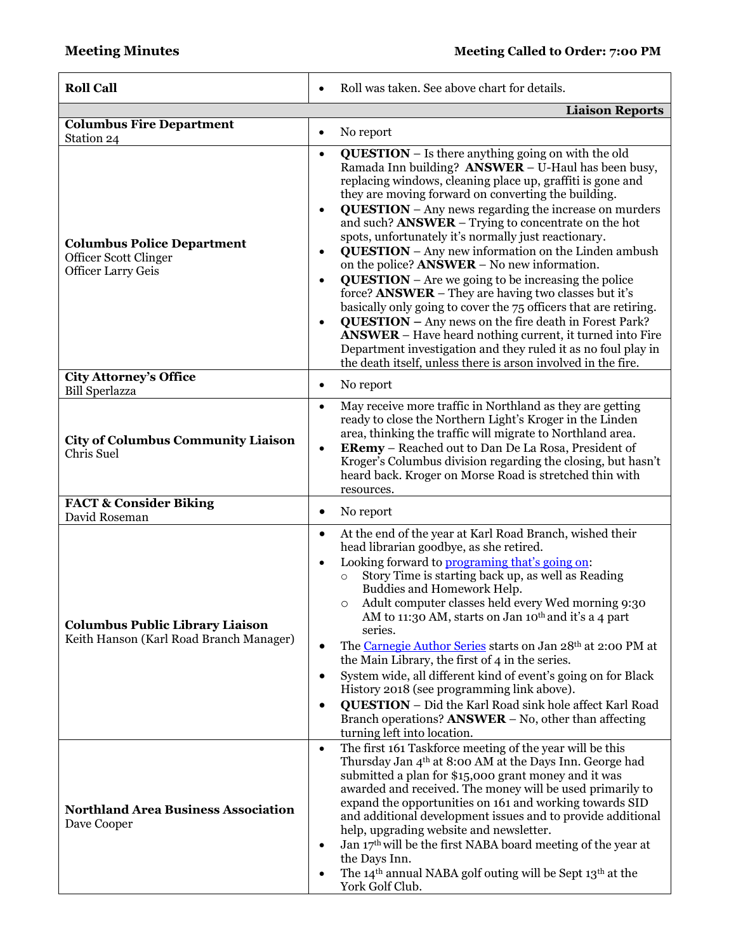| <b>Roll Call</b>                                                                        | Roll was taken. See above chart for details.                                                                                                                                                                                                                                                                                                                                                                                                                                                                                                                                                                                                                                                                                                                                                                                                                                                                                                                                                                                                                          |  |  |
|-----------------------------------------------------------------------------------------|-----------------------------------------------------------------------------------------------------------------------------------------------------------------------------------------------------------------------------------------------------------------------------------------------------------------------------------------------------------------------------------------------------------------------------------------------------------------------------------------------------------------------------------------------------------------------------------------------------------------------------------------------------------------------------------------------------------------------------------------------------------------------------------------------------------------------------------------------------------------------------------------------------------------------------------------------------------------------------------------------------------------------------------------------------------------------|--|--|
|                                                                                         | <b>Liaison Reports</b>                                                                                                                                                                                                                                                                                                                                                                                                                                                                                                                                                                                                                                                                                                                                                                                                                                                                                                                                                                                                                                                |  |  |
| <b>Columbus Fire Department</b><br>Station 24                                           | No report<br>$\bullet$                                                                                                                                                                                                                                                                                                                                                                                                                                                                                                                                                                                                                                                                                                                                                                                                                                                                                                                                                                                                                                                |  |  |
| <b>Columbus Police Department</b><br>Officer Scott Clinger<br><b>Officer Larry Geis</b> | <b>QUESTION</b> - Is there anything going on with the old<br>$\bullet$<br>Ramada Inn building? ANSWER - U-Haul has been busy,<br>replacing windows, cleaning place up, graffiti is gone and<br>they are moving forward on converting the building.<br><b>QUESTION</b> - Any news regarding the increase on murders<br>$\bullet$<br>and such? ANSWER – Trying to concentrate on the hot<br>spots, unfortunately it's normally just reactionary.<br><b>QUESTION</b> – Any new information on the Linden ambush<br>$\bullet$<br>on the police? $ANSWER - No$ new information.<br>$QUESTION - Are we going to be increasing the police$<br>$\bullet$<br>force? <b>ANSWER</b> – They are having two classes but it's<br>basically only going to cover the 75 officers that are retiring.<br><b>QUESTION</b> - Any news on the fire death in Forest Park?<br>$\bullet$<br><b>ANSWER</b> – Have heard nothing current, it turned into Fire<br>Department investigation and they ruled it as no foul play in<br>the death itself, unless there is arson involved in the fire. |  |  |
| City Attorney's Office                                                                  | No report<br>$\bullet$                                                                                                                                                                                                                                                                                                                                                                                                                                                                                                                                                                                                                                                                                                                                                                                                                                                                                                                                                                                                                                                |  |  |
| <b>Bill Sperlazza</b><br><b>City of Columbus Community Liaison</b><br>Chris Suel        | May receive more traffic in Northland as they are getting<br>$\bullet$<br>ready to close the Northern Light's Kroger in the Linden<br>area, thinking the traffic will migrate to Northland area.<br><b>ERemy</b> – Reached out to Dan De La Rosa, President of<br>$\bullet$<br>Kroger's Columbus division regarding the closing, but hasn't<br>heard back. Kroger on Morse Road is stretched thin with<br>resources.                                                                                                                                                                                                                                                                                                                                                                                                                                                                                                                                                                                                                                                  |  |  |
| <b>FACT &amp; Consider Biking</b><br>David Roseman                                      | No report<br>$\bullet$                                                                                                                                                                                                                                                                                                                                                                                                                                                                                                                                                                                                                                                                                                                                                                                                                                                                                                                                                                                                                                                |  |  |
| <b>Columbus Public Library Liaison</b><br>Keith Hanson (Karl Road Branch Manager)       | At the end of the year at Karl Road Branch, wished their<br>$\bullet$<br>head librarian goodbye, as she retired.<br>Looking forward to programing that's going on:<br>$\bullet$<br>Story Time is starting back up, as well as Reading<br>$\circ$<br>Buddies and Homework Help.<br>Adult computer classes held every Wed morning 9:30<br>AM to 11:30 AM, starts on Jan 10 <sup>th</sup> and it's a 4 part<br>series.<br>The Carnegie Author Series starts on Jan 28th at 2:00 PM at<br>the Main Library, the first of 4 in the series.<br>System wide, all different kind of event's going on for Black<br>٠<br>History 2018 (see programming link above).<br><b>QUESTION</b> - Did the Karl Road sink hole affect Karl Road<br>$\bullet$<br>Branch operations? $ANSWER - No$ , other than affecting<br>turning left into location.                                                                                                                                                                                                                                    |  |  |
| <b>Northland Area Business Association</b><br>Dave Cooper                               | The first 161 Taskforce meeting of the year will be this<br>$\bullet$<br>Thursday Jan 4 <sup>th</sup> at 8:00 AM at the Days Inn. George had<br>submitted a plan for \$15,000 grant money and it was<br>awarded and received. The money will be used primarily to<br>expand the opportunities on 161 and working towards SID<br>and additional development issues and to provide additional<br>help, upgrading website and newsletter.<br>Jan 17 <sup>th</sup> will be the first NABA board meeting of the year at<br>the Days Inn.<br>The 14 <sup>th</sup> annual NABA golf outing will be Sept 13 <sup>th</sup> at the<br>York Golf Club.                                                                                                                                                                                                                                                                                                                                                                                                                           |  |  |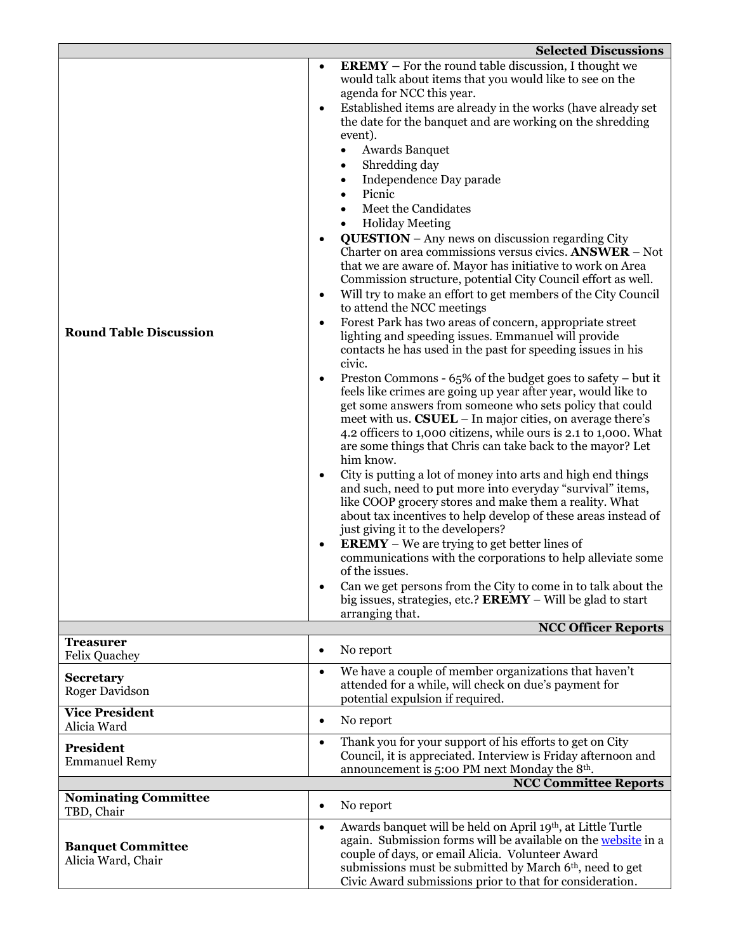|                                                | <b>Selected Discussions</b>                                                                                                                                                                                                                                                                                                                                                                                                                                                                                                                                                                                                                                                                                                                                                                                                                                                                                                                                                                                                                                                                                                                                                                                                                                                                                                                                                                                                                                                                                                                                                                                                                                                                                                                                                                                                                                                                                                                                                                                                                                                                           |
|------------------------------------------------|-------------------------------------------------------------------------------------------------------------------------------------------------------------------------------------------------------------------------------------------------------------------------------------------------------------------------------------------------------------------------------------------------------------------------------------------------------------------------------------------------------------------------------------------------------------------------------------------------------------------------------------------------------------------------------------------------------------------------------------------------------------------------------------------------------------------------------------------------------------------------------------------------------------------------------------------------------------------------------------------------------------------------------------------------------------------------------------------------------------------------------------------------------------------------------------------------------------------------------------------------------------------------------------------------------------------------------------------------------------------------------------------------------------------------------------------------------------------------------------------------------------------------------------------------------------------------------------------------------------------------------------------------------------------------------------------------------------------------------------------------------------------------------------------------------------------------------------------------------------------------------------------------------------------------------------------------------------------------------------------------------------------------------------------------------------------------------------------------------|
| <b>Round Table Discussion</b>                  | <b>EREMY</b> – For the round table discussion, I thought we<br>would talk about items that you would like to see on the<br>agenda for NCC this year.<br>Established items are already in the works (have already set<br>$\bullet$<br>the date for the banquet and are working on the shredding<br>event).<br><b>Awards Banquet</b><br>Shredding day<br>$\bullet$<br>Independence Day parade<br>$\bullet$<br>Picnic<br>$\bullet$<br>Meet the Candidates<br><b>Holiday Meeting</b><br><b>QUESTION</b> - Any news on discussion regarding City<br>Charter on area commissions versus civics. ANSWER - Not<br>that we are aware of. Mayor has initiative to work on Area<br>Commission structure, potential City Council effort as well.<br>Will try to make an effort to get members of the City Council<br>$\bullet$<br>to attend the NCC meetings<br>Forest Park has two areas of concern, appropriate street<br>$\bullet$<br>lighting and speeding issues. Emmanuel will provide<br>contacts he has used in the past for speeding issues in his<br>civic.<br>Preston Commons - 65% of the budget goes to safety – but it<br>٠<br>feels like crimes are going up year after year, would like to<br>get some answers from someone who sets policy that could<br>meet with us. CSUEL - In major cities, on average there's<br>4.2 officers to 1,000 citizens, while ours is 2.1 to 1,000. What<br>are some things that Chris can take back to the mayor? Let<br>him know.<br>City is putting a lot of money into arts and high end things<br>$\bullet$<br>and such, need to put more into everyday "survival" items,<br>like COOP grocery stores and make them a reality. What<br>about tax incentives to help develop of these areas instead of<br>just giving it to the developers?<br><b>EREMY</b> – We are trying to get better lines of<br>$\bullet$<br>communications with the corporations to help alleviate some<br>of the issues.<br>Can we get persons from the City to come in to talk about the<br>big issues, strategies, etc.? $\textbf{EREMY} -$ Will be glad to start<br>arranging that. |
|                                                | <b>NCC Officer Reports</b>                                                                                                                                                                                                                                                                                                                                                                                                                                                                                                                                                                                                                                                                                                                                                                                                                                                                                                                                                                                                                                                                                                                                                                                                                                                                                                                                                                                                                                                                                                                                                                                                                                                                                                                                                                                                                                                                                                                                                                                                                                                                            |
| <b>Treasurer</b><br>Felix Quachey              | No report<br>$\bullet$                                                                                                                                                                                                                                                                                                                                                                                                                                                                                                                                                                                                                                                                                                                                                                                                                                                                                                                                                                                                                                                                                                                                                                                                                                                                                                                                                                                                                                                                                                                                                                                                                                                                                                                                                                                                                                                                                                                                                                                                                                                                                |
| <b>Secretary</b><br><b>Roger Davidson</b>      | We have a couple of member organizations that haven't<br>$\bullet$<br>attended for a while, will check on due's payment for<br>potential expulsion if required.                                                                                                                                                                                                                                                                                                                                                                                                                                                                                                                                                                                                                                                                                                                                                                                                                                                                                                                                                                                                                                                                                                                                                                                                                                                                                                                                                                                                                                                                                                                                                                                                                                                                                                                                                                                                                                                                                                                                       |
| <b>Vice President</b><br>Alicia Ward           | No report<br>$\bullet$                                                                                                                                                                                                                                                                                                                                                                                                                                                                                                                                                                                                                                                                                                                                                                                                                                                                                                                                                                                                                                                                                                                                                                                                                                                                                                                                                                                                                                                                                                                                                                                                                                                                                                                                                                                                                                                                                                                                                                                                                                                                                |
| President<br><b>Emmanuel Remy</b>              | Thank you for your support of his efforts to get on City<br>$\bullet$<br>Council, it is appreciated. Interview is Friday afternoon and<br>announcement is 5:00 PM next Monday the 8 <sup>th</sup> .<br><b>NCC Committee Reports</b>                                                                                                                                                                                                                                                                                                                                                                                                                                                                                                                                                                                                                                                                                                                                                                                                                                                                                                                                                                                                                                                                                                                                                                                                                                                                                                                                                                                                                                                                                                                                                                                                                                                                                                                                                                                                                                                                   |
| <b>Nominating Committee</b>                    |                                                                                                                                                                                                                                                                                                                                                                                                                                                                                                                                                                                                                                                                                                                                                                                                                                                                                                                                                                                                                                                                                                                                                                                                                                                                                                                                                                                                                                                                                                                                                                                                                                                                                                                                                                                                                                                                                                                                                                                                                                                                                                       |
| TBD, Chair                                     | No report<br>$\bullet$                                                                                                                                                                                                                                                                                                                                                                                                                                                                                                                                                                                                                                                                                                                                                                                                                                                                                                                                                                                                                                                                                                                                                                                                                                                                                                                                                                                                                                                                                                                                                                                                                                                                                                                                                                                                                                                                                                                                                                                                                                                                                |
| <b>Banquet Committee</b><br>Alicia Ward, Chair | Awards banquet will be held on April 19th, at Little Turtle<br>$\bullet$<br>again. Submission forms will be available on the website in a<br>couple of days, or email Alicia. Volunteer Award<br>submissions must be submitted by March 6th, need to get<br>Civic Award submissions prior to that for consideration.                                                                                                                                                                                                                                                                                                                                                                                                                                                                                                                                                                                                                                                                                                                                                                                                                                                                                                                                                                                                                                                                                                                                                                                                                                                                                                                                                                                                                                                                                                                                                                                                                                                                                                                                                                                  |